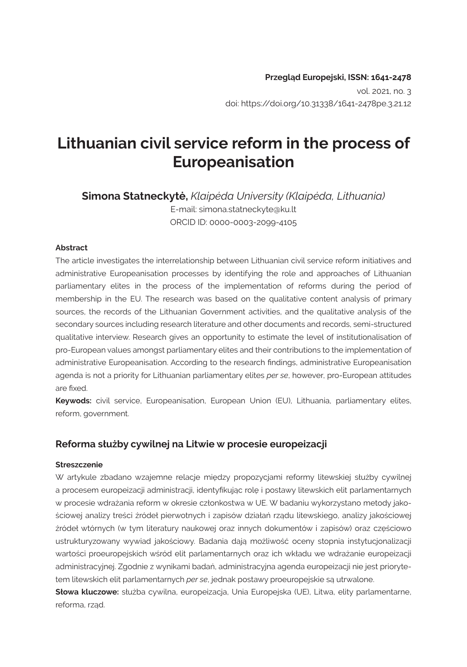doi: https://doi.org/10.31338/1641-2478pe.3.21.12

# **Lithuanian civil service reform in the process of Europeanisation**

**Simona Statneckytė,** *Klaipėda University (Klaipėda, Lithuania)* E-mail: [simona.statneckyte@ku.lt](mailto:simona.statneckyte@ku.lt) ORCID ID: 0000-0003-2099-4105

#### **Abstract**

The article investigates the interrelationship between Lithuanian civil service reform initiatives and administrative Europeanisation processes by identifying the role and approaches of Lithuanian parliamentary elites in the process of the implementation of reforms during the period of membership in the EU. The research was based on the qualitative content analysis of primary sources, the records of the Lithuanian Government activities, and the qualitative analysis of the secondary sources including research literature and other documents and records, semi-structured qualitative interview. Research gives an opportunity to estimate the level of institutionalisation of pro-European values amongst parliamentary elites and their contributions to the implementation of administrative Europeanisation. According to the research findings, administrative Europeanisation agenda is not a priority for Lithuanian parliamentary elites *per se*, however, pro-European attitudes are fixed.

**Keywods:** civil service, Europeanisation, European Union (EU), Lithuania, parliamentary elites, reform, government.

#### **Reforma służby cywilnej na Litwie w procesie europeizacji**

#### **Streszczenie**

W artykule zbadano wzajemne relacje między propozycjami reformy litewskiej służby cywilnej a procesem europeizacji administracji, identyfikując rolę i postawy litewskich elit parlamentarnych w procesie wdrażania reform w okresie członkostwa w UE. W badaniu wykorzystano metody jakościowej analizy treści źródeł pierwotnych i zapisów działań rządu litewskiego, analizy jakościowej źródeł wtórnych (w tym literatury naukowej oraz innych dokumentów i zapisów) oraz częściowo ustrukturyzowany wywiad jakościowy. Badania dają możliwość oceny stopnia instytucjonalizacji wartości proeuropejskich wśród elit parlamentarnych oraz ich wkładu we wdrażanie europeizacji administracyjnej. Zgodnie z wynikami badań, administracyjna agenda europeizacji nie jest priorytetem litewskich elit parlamentarnych *per se*, jednak postawy proeuropejskie są utrwalone.

**Słowa kluczowe:** służba cywilna, europeizacja, Unia Europejska (UE), Litwa, elity parlamentarne, reforma, rząd.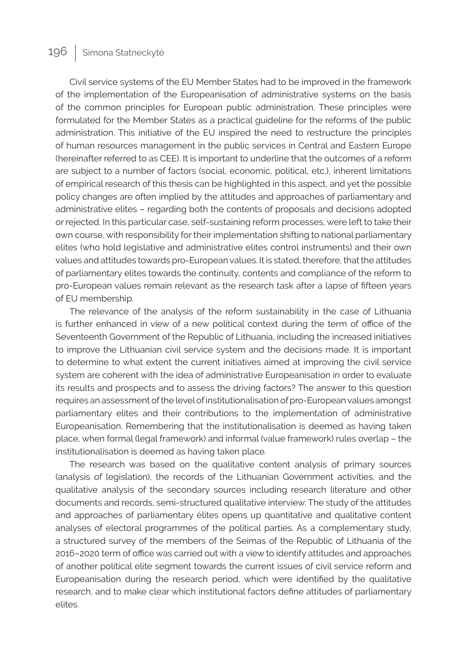Civil service systems of the EU Member States had to be improved in the framework of the implementation of the Europeanisation of administrative systems on the basis of the common principles for European public administration. These principles were formulated for the Member States as a practical guideline for the reforms of the public administration. This initiative of the EU inspired the need to restructure the principles of human resources management in the public services in Central and Eastern Europe (hereinafter referred to as CEE). It is important to underline that the outcomes of a reform are subject to a number of factors (social, economic, political, etc.), inherent limitations of empirical research of this thesis can be highlighted in this aspect, and yet the possible policy changes are often implied by the attitudes and approaches of parliamentary and administrative elites – regarding both the contents of proposals and decisions adopted or rejected. In this particular case, self-sustaining reform processes, were left to take their own course, with responsibility for their implementation shifting to national parliamentary elites (who hold legislative and administrative elites control instruments) and their own values and attitudes towards pro-European values. It is stated, therefore, that the attitudes of parliamentary elites towards the continuity, contents and compliance of the reform to pro-European values remain relevant as the research task after a lapse of fifteen years of EU membership.

The relevance of the analysis of the reform sustainability in the case of Lithuania is further enhanced in view of a new political context during the term of office of the Seventeenth Government of the Republic of Lithuania, including the increased initiatives to improve the Lithuanian civil service system and the decisions made. It is important to determine to what extent the current initiatives aimed at improving the civil service system are coherent with the idea of administrative Europeanisation in order to evaluate its results and prospects and to assess the driving factors? The answer to this question requires an assessment of the level of institutionalisation of pro-European values amongst parliamentary elites and their contributions to the implementation of administrative Europeanisation. Remembering that the institutionalisation is deemed as having taken place, when formal (legal framework) and informal (value framework) rules overlap – the institutionalisation is deemed as having taken place.

The research was based on the qualitative content analysis of primary sources (analysis of legislation), the records of the Lithuanian Government activities, and the qualitative analysis of the secondary sources including research literature and other documents and records, semi-structured qualitative interview. The study of the attitudes and approaches of parliamentary élites opens up quantitative and qualitative content analyses of electoral programmes of the political parties. As a complementary study, a structured survey of the members of the Seimas of the Republic of Lithuania of the 2016–2020 term of office was carried out with a view to identify attitudes and approaches of another political elite segment towards the current issues of civil service reform and Europeanisation during the research period, which were identified by the qualitative research, and to make clear which institutional factors define attitudes of parliamentary elites.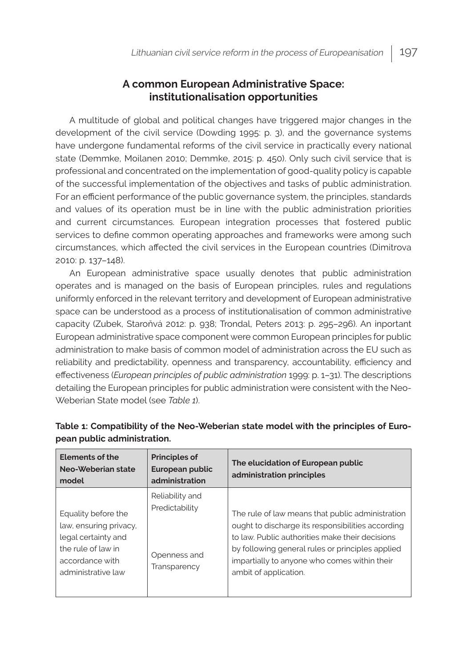# **A common European Administrative Space: institutionalisation opportunities**

A multitude of global and political changes have triggered major changes in the development of the civil service (Dowding 1995: p. 3), and the governance systems have undergone fundamental reforms of the civil service in practically every national state (Demmke, Moilanen 2010; Demmke, 2015: p. 450). Only such civil service that is professional and concentrated on the implementation of good-quality policy is capable of the successful implementation of the objectives and tasks of public administration. For an efficient performance of the public governance system, the principles, standards and values of its operation must be in line with the public administration priorities and current circumstances. European integration processes that fostered public services to define common operating approaches and frameworks were among such circumstances, which affected the civil services in the European countries (Dimitrova 2010: p. 137–148).

An European administrative space usually denotes that public administration operates and is managed on the basis of European principles, rules and regulations uniformly enforced in the relevant territory and development of European administrative space can be understood as a process of institutionalisation of common administrative capacity (Zubek, Staroňvá 2012: p. 938; Trondal, Peters 2013: p. 295–296). An inportant European administrative space component were common European principles for public administration to make basis of common model of administration across the EU such as reliability and predictability, openness and transparency, accountability, efficiency and effectiveness (*European principles of public administration* 1999: p. 1–31). The descriptions detailing the European principles for public administration were consistent with the Neo-Weberian State model (see *Table 1*).

| <b>Elements of the</b><br>Neo-Weberian state<br>model                                                                               | <b>Principles of</b><br>European public<br>administration         | The elucidation of European public<br>administration principles                                                                                                                                                                                                                       |
|-------------------------------------------------------------------------------------------------------------------------------------|-------------------------------------------------------------------|---------------------------------------------------------------------------------------------------------------------------------------------------------------------------------------------------------------------------------------------------------------------------------------|
| Equality before the<br>law, ensuring privacy,<br>legal certainty and<br>the rule of law in<br>accordance with<br>administrative law | Reliability and<br>Predictability<br>Openness and<br>Transparency | The rule of law means that public administration<br>ought to discharge its responsibilities according<br>to law. Public authorities make their decisions<br>by following general rules or principles applied<br>impartially to anyone who comes within their<br>ambit of application. |

| Table 1: Compatibility of the Neo-Weberian state model with the principles of Euro- |  |
|-------------------------------------------------------------------------------------|--|
| pean public administration.                                                         |  |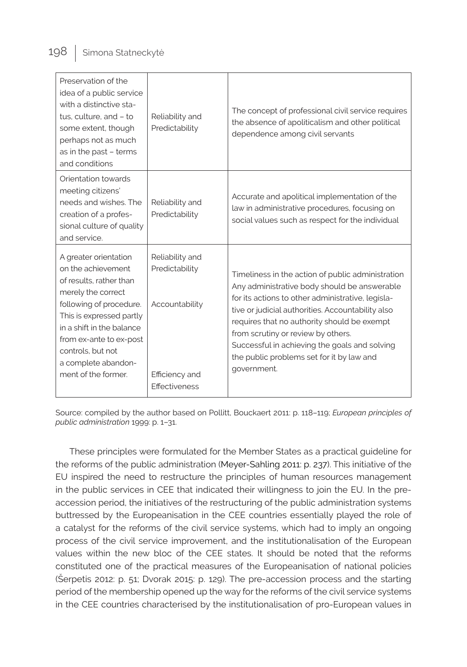| Preservation of the<br>idea of a public service<br>with a distinctive sta-<br>tus, culture, and - to<br>some extent, though<br>perhaps not as much<br>as in the past - terms<br>and conditions                                                                                 | Reliability and<br>Predictability                                                      | The concept of professional civil service requires<br>the absence of apoliticalism and other political<br>dependence among civil servants                                                                                                                                                                                                                                                                     |
|--------------------------------------------------------------------------------------------------------------------------------------------------------------------------------------------------------------------------------------------------------------------------------|----------------------------------------------------------------------------------------|---------------------------------------------------------------------------------------------------------------------------------------------------------------------------------------------------------------------------------------------------------------------------------------------------------------------------------------------------------------------------------------------------------------|
| Orientation towards<br>meeting citizens'<br>needs and wishes. The<br>creation of a profes-<br>sional culture of quality<br>and service.                                                                                                                                        | Reliability and<br>Predictability                                                      | Accurate and apolitical implementation of the<br>law in administrative procedures, focusing on<br>social values such as respect for the individual                                                                                                                                                                                                                                                            |
| A greater orientation<br>on the achievement<br>of results, rather than<br>merely the correct<br>following of procedure.<br>This is expressed partly<br>in a shift in the balance<br>from ex-ante to ex-post<br>controls, but not<br>a complete abandon-<br>ment of the former. | Reliability and<br>Predictability<br>Accountability<br>Efficiency and<br>Effectiveness | Timeliness in the action of public administration<br>Any administrative body should be answerable<br>for its actions to other administrative, legisla-<br>tive or judicial authorities. Accountability also<br>requires that no authority should be exempt<br>from scrutiny or review by others.<br>Successful in achieving the goals and solving<br>the public problems set for it by law and<br>government. |

Source: compiled by the author based on Pollitt, Bouckaert 2011: p. 118–119; *European principles of public administration* 1999: p. 1–31.

These principles were formulated for the Member States as a practical guideline for the reforms of the public administration (Meyer-Sahling 2011: p. 237). This initiative of the EU inspired the need to restructure the principles of human resources management in the public services in CEE that indicated their willingness to join the EU. In the preaccession period, the initiatives of the restructuring of the public administration systems buttressed by the Europeanisation in the CEE countries essentially played the role of a catalyst for the reforms of the civil service systems, which had to imply an ongoing process of the civil service improvement, and the institutionalisation of the European values within the new bloc of the CEE states. It should be noted that the reforms constituted one of the practical measures of the Europeanisation of national policies (Šerpetis 2012: p. 51; Dvorak 2015: p. 129). The pre-accession process and the starting period of the membership opened up the way for the reforms of the civil service systems in the CEE countries characterised by the institutionalisation of pro-European values in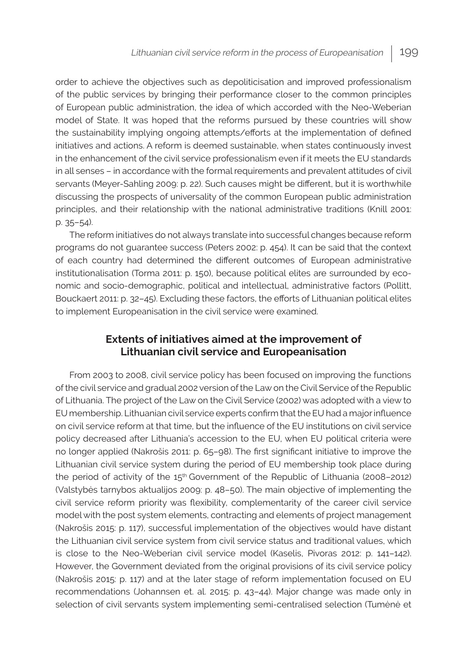order to achieve the objectives such as depoliticisation and improved professionalism of the public services by bringing their performance closer to the common principles of European public administration, the idea of which accorded with the Neo-Weberian model of State. It was hoped that the reforms pursued by these countries will show the sustainability implying ongoing attempts/efforts at the implementation of defined initiatives and actions. A reform is deemed sustainable, when states continuously invest in the enhancement of the civil service professionalism even if it meets the EU standards in all senses – in accordance with the formal requirements and prevalent attitudes of civil servants (Meyer-Sahling 2009: p. 22). Such causes might be different, but it is worthwhile discussing the prospects of universality of the common European public administration principles, and their relationship with the national administrative traditions (Knill 2001: p. 35–54).

The reform initiatives do not always translate into successful changes because reform programs do not guarantee success (Peters 2002: p. 454). It can be said that the context of each country had determined the different outcomes of European administrative institutionalisation (Torma 2011: p. 150), because political elites are surrounded by economic and socio-demographic, political and intellectual, administrative factors (Pollitt, Bouckaert 2011: p. 32–45). Excluding these factors, the efforts of Lithuanian political elites to implement Europeanisation in the civil service were examined.

# **Extents of initiatives aimed at the improvement of Lithuanian civil service and Europeanisation**

From 2003 to 2008, civil service policy has been focused on improving the functions of the civil service and gradual 2002 version of the Law on the Civil Service of the Republic of Lithuania. The project of the Law on the Civil Service (2002) was adopted with a view to EU membership. Lithuanian civil service experts confirm that the EU had a major influence on civil service reform at that time, but the influence of the EU institutions on civil service policy decreased after Lithuania's accession to the EU, when EU political criteria were no longer applied (Nakrošis 2011: p. 65–98). The first significant initiative to improve the Lithuanian civil service system during the period of EU membership took place during the period of activity of the 15<sup>th</sup> Government of the Republic of Lithuania (2008-2012) (Valstybės tarnybos aktualijos 2009: p. 48–50). The main objective of implementing the civil service reform priority was flexibility, complementarity of the career civil service model with the post system elements, contracting and elements of project management (Nakrošis 2015: p. 117), successful implementation of the objectives would have distant the Lithuanian civil service system from civil service status and traditional values, which is close to the Neo-Weberian civil service model (Kaselis, Pivoras 2012: p. 141–142). However, the Government deviated from the original provisions of its civil service policy (Nakrošis 2015: p. 117) and at the later stage of reform implementation focused on EU recommendations (Johannsen et. al. 2015: p. 43–44). Major change was made only in selection of civil servants system implementing semi-centralised selection (Tumėnė et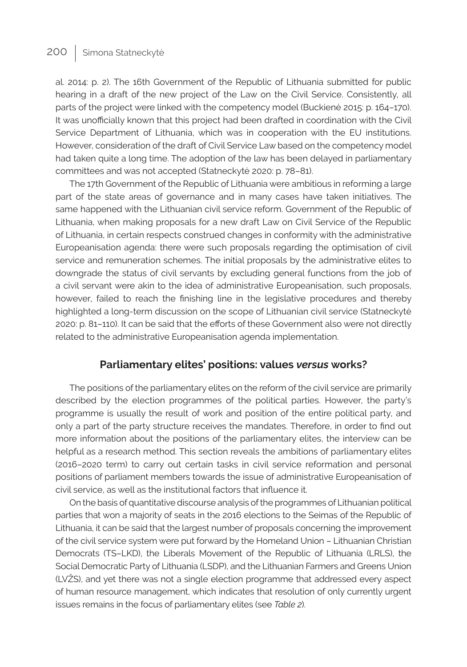al. 2014: p. 2). The 16th Government of the Republic of Lithuania submitted for public hearing in a draft of the new project of the Law on the Civil Service. Consistently, all parts of the project were linked with the competency model (Buckienė 2015: p. 164–170). It was unofficially known that this project had been drafted in coordination with the Civil Service Department of Lithuania, which was in cooperation with the EU institutions. However, consideration of the draft of Civil Service Law based on the competency model had taken quite a long time. The adoption of the law has been delayed in parliamentary committees and was not accepted (Statneckytė 2020: p. 78–81).

The 17th Government of the Republic of Lithuania were ambitious in reforming a large part of the state areas of governance and in many cases have taken initiatives. The same happened with the Lithuanian civil service reform. Government of the Republic of Lithuania, when making proposals for a new draft Law on Civil Service of the Republic of Lithuania, in certain respects construed changes in conformity with the administrative Europeanisation agenda: there were such proposals regarding the optimisation of civil service and remuneration schemes. The initial proposals by the administrative elites to downgrade the status of civil servants by excluding general functions from the job of a civil servant were akin to the idea of administrative Europeanisation, such proposals, however, failed to reach the finishing line in the legislative procedures and thereby highlighted a long-term discussion on the scope of Lithuanian civil service (Statneckytė 2020: p. 81–110). It can be said that the efforts of these Government also were not directly related to the administrative Europeanisation agenda implementation.

### **Parliamentary elites' positions: values** *versus* **works?**

The positions of the parliamentary elites on the reform of the civil service are primarily described by the election programmes of the political parties. However, the party's programme is usually the result of work and position of the entire political party, and only a part of the party structure receives the mandates. Therefore, in order to find out more information about the positions of the parliamentary elites, the interview can be helpful as a research method. This section reveals the ambitions of parliamentary elites (2016–2020 term) to carry out certain tasks in civil service reformation and personal positions of parliament members towards the issue of administrative Europeanisation of civil service, as well as the institutional factors that influence it.

On the basis of quantitative discourse analysis of the programmes of Lithuanian political parties that won a majority of seats in the 2016 elections to the Seimas of the Republic of Lithuania, it can be said that the largest number of proposals concerning the improvement of the civil service system were put forward by the Homeland Union – Lithuanian Christian Democrats (TS–LKD), the Liberals Movement of the Republic of Lithuania (LRLS), the Social Democratic Party of Lithuania (LSDP), and the Lithuanian Farmers and Greens Union (LVŽS), and yet there was not a single election programme that addressed every aspect of human resource management, which indicates that resolution of only currently urgent issues remains in the focus of parliamentary elites (see *Table 2*).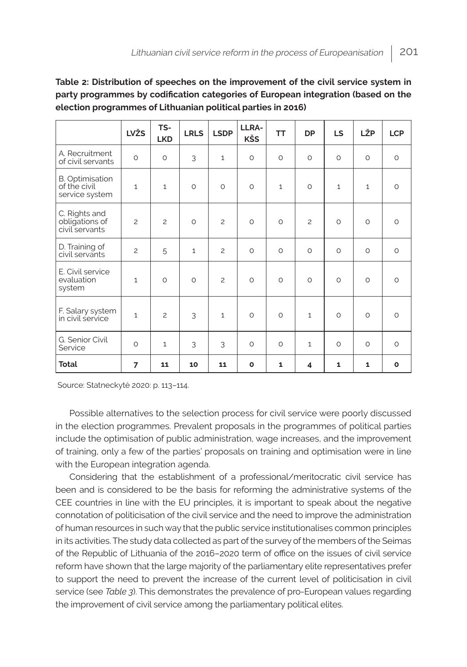### **Table 2: Distribution of speeches on the improvement of the civil service system in party programmes by codification categories of European integration (based on the election programmes of Lithuanian political parties in 2016)**

|                                                          | <b>LVŽS</b>    | TS-<br><b>LKD</b> | <b>LRLS</b>  | <b>LSDP</b>    | LLRA-<br>KŠS | <b>TT</b>    | <b>DP</b>          | <b>LS</b>    | LŽP          | <b>LCP</b>   |
|----------------------------------------------------------|----------------|-------------------|--------------|----------------|--------------|--------------|--------------------|--------------|--------------|--------------|
| A. Recruitment<br>of civil servants                      | $\circ$        | $\circ$           | 3            | $\mathbf{1}$   | $\circ$      | $\circ$      | $\circ$            | $\circ$      | $\circ$      | $\circ$      |
| <b>B.</b> Optimisation<br>of the civil<br>service system | $\mathbf{1}$   | $\mathbf{1}$      | $\circ$      | $\circ$        | $\circ$      | $\mathbf{1}$ | $\circ$            | $\mathbf{1}$ | $\mathbf{1}$ | $\circ$      |
| C. Rights and<br>obligations of<br>civil servants        | $\overline{c}$ | $\overline{c}$    | $\circ$      | $\overline{c}$ | $\Omega$     | $\circ$      | $\overline{c}$     | $\Omega$     | $\circ$      | $\circ$      |
| D. Training of<br>civil servants                         | $\overline{c}$ | 5                 | $\mathbf{1}$ | $\overline{c}$ | $\circ$      | $\circ$      | $\circ$            | $\circ$      | $\circ$      | $\circ$      |
| E. Civil service<br>evaluation<br>system                 | $\mathbf{1}$   | $\circ$           | $\circ$      | $\overline{c}$ | $\circ$      | $\circ$      | $\circ$            | $\circ$      | $\circ$      | $\circ$      |
| F. Salary system<br>in civil service                     | $\mathbf{1}$   | $\overline{c}$    | 3            | $\mathbf{1}$   | $\circ$      | $\circ$      | $\mathbf{1}$       | $\circ$      | $\circ$      | $\circ$      |
| G. Senior Civil<br>Service                               | $\circ$        | $\mathbf{1}$      | 3            | 3              | $\circ$      | $\circ$      | $\mathbf{1}$       | $\circ$      | $\circ$      | $\circ$      |
| <b>Total</b>                                             | 7              | 11                | 10           | 11             | $\mathbf o$  | 1            | $\overline{\bf 4}$ | 1            | $\mathbf{1}$ | $\mathbf{o}$ |

Source: Statneckytė 2020: p. 113–114.

Possible alternatives to the selection process for civil service were poorly discussed in the election programmes. Prevalent proposals in the programmes of political parties include the optimisation of public administration, wage increases, and the improvement of training, only a few of the parties' proposals on training and optimisation were in line with the European integration agenda.

Considering that the establishment of a professional/meritocratic civil service has been and is considered to be the basis for reforming the administrative systems of the CEE countries in line with the EU principles, it is important to speak about the negative connotation of politicisation of the civil service and the need to improve the administration of human resources in such way that the public service institutionalises common principles in its activities. The study data collected as part of the survey of the members of the Seimas of the Republic of Lithuania of the 2016–2020 term of office on the issues of civil service reform have shown that the large majority of the parliamentary elite representatives prefer to support the need to prevent the increase of the current level of politicisation in civil service (see *Table 3*). This demonstrates the prevalence of pro-European values regarding the improvement of civil service among the parliamentary political elites.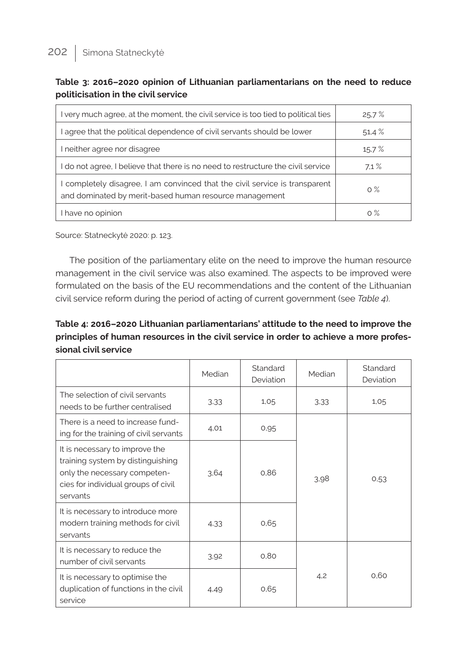| Table 3: 2016–2020 opinion of Lithuanian parliamentarians on the need to reduce |  |  |  |
|---------------------------------------------------------------------------------|--|--|--|
| politicisation in the civil service                                             |  |  |  |

| I very much agree, at the moment, the civil service is too tied to political ties                                                     | 25.7% |
|---------------------------------------------------------------------------------------------------------------------------------------|-------|
| I agree that the political dependence of civil servants should be lower                                                               | 51,4% |
| I neither agree nor disagree                                                                                                          | 15.7% |
| I do not agree, I believe that there is no need to restructure the civil service                                                      | 7.1%  |
| I completely disagree, I am convinced that the civil service is transparent<br>and dominated by merit-based human resource management | $0\%$ |
| I have no opinion                                                                                                                     | $0\%$ |

Source: Statneckytė 2020: p. 123.

The position of the parliamentary elite on the need to improve the human resource management in the civil service was also examined. The aspects to be improved were formulated on the basis of the EU recommendations and the content of the Lithuanian civil service reform during the period of acting of current government (see *Table 4*).

# **Table 4: 2016–2020 Lithuanian parliamentarians' attitude to the need to improve the principles of human resources in the civil service in order to achieve a more professional civil service**

|                                                                                                                                                        | Median | Standard<br>Deviation | Median | Standard<br>Deviation |  |
|--------------------------------------------------------------------------------------------------------------------------------------------------------|--------|-----------------------|--------|-----------------------|--|
| The selection of civil servants<br>needs to be further centralised                                                                                     | 3.33   | 1,05                  | 3,33   | 1,05                  |  |
| There is a need to increase fund-<br>ing for the training of civil servants                                                                            | 4.01   | 0,95                  |        |                       |  |
| It is necessary to improve the<br>training system by distinguishing<br>only the necessary competen-<br>cies for individual groups of civil<br>servants | 3.64   | 0.86                  | 3,98   | 0,53                  |  |
| It is necessary to introduce more<br>modern training methods for civil<br>servants                                                                     | 4,33   | 0,65                  |        |                       |  |
| It is necessary to reduce the<br>number of civil servants                                                                                              | 3,92   | 0.80                  |        |                       |  |
| It is necessary to optimise the<br>duplication of functions in the civil<br>service                                                                    | 4.49   | 0,65                  | 4,2    | 0.60                  |  |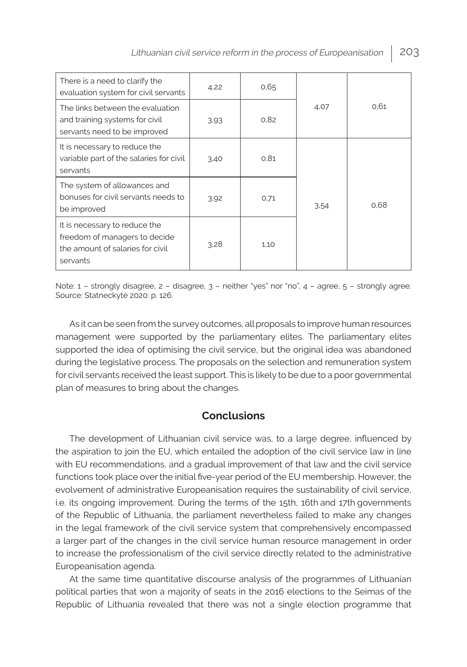| There is a need to clarify the<br>evaluation system for civil servants                                         | 4.22 | 0.65 |      |      |  |
|----------------------------------------------------------------------------------------------------------------|------|------|------|------|--|
| The links between the evaluation<br>and training systems for civil<br>servants need to be improved             | 3.93 | 0.82 | 4,07 | 0.61 |  |
| It is necessary to reduce the<br>variable part of the salaries for civil<br>servants                           | 3,40 | 0.81 |      |      |  |
| The system of allowances and<br>bonuses for civil servants needs to<br>be improved                             | 3,92 | 0,71 | 3,54 | 0.68 |  |
| It is necessary to reduce the<br>freedom of managers to decide<br>the amount of salaries for civil<br>servants | 3.28 | 1,10 |      |      |  |

Note: 1 – strongly disagree, 2 – disagree, 3 – neither "yes" nor "no", 4 – agree, 5 – strongly agree. Source: Statneckytė 2020: p. 126.

As it can be seen from the survey outcomes, all proposals to improve human resources management were supported by the parliamentary elites. The parliamentary elites supported the idea of optimising the civil service, but the original idea was abandoned during the legislative process. The proposals on the selection and remuneration system for civil servants received the least support. This is likely to be due to a poor governmental plan of measures to bring about the changes.

# **Conclusions**

The development of Lithuanian civil service was, to a large degree, influenced by the aspiration to join the EU, which entailed the adoption of the civil service law in line with EU recommendations, and a gradual improvement of that law and the civil service functions took place over the initial five-year period of the EU membership. However, the evolvement of administrative Europeanisation requires the sustainability of civil service, i.e. its ongoing improvement. During the terms of the 15th, 16th and 17th governments of the Republic of Lithuania, the parliament nevertheless failed to make any changes in the legal framework of the civil service system that comprehensively encompassed a larger part of the changes in the civil service human resource management in order to increase the professionalism of the civil service directly related to the administrative Europeanisation agenda.

At the same time quantitative discourse analysis of the programmes of Lithuanian political parties that won a majority of seats in the 2016 elections to the Seimas of the Republic of Lithuania revealed that there was not a single election programme that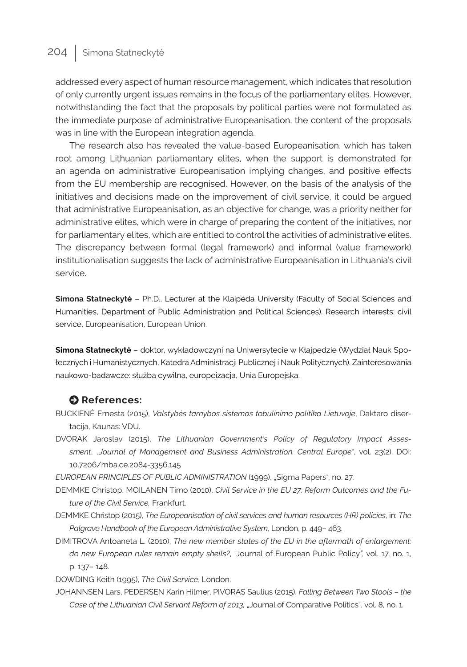addressed every aspect of human resource management, which indicates that resolution of only currently urgent issues remains in the focus of the parliamentary elites. However, notwithstanding the fact that the proposals by political parties were not formulated as the immediate purpose of administrative Europeanisation, the content of the proposals was in line with the European integration agenda.

The research also has revealed the value-based Europeanisation, which has taken root among Lithuanian parliamentary elites, when the support is demonstrated for an agenda on administrative Europeanisation implying changes, and positive effects from the EU membership are recognised. However, on the basis of the analysis of the initiatives and decisions made on the improvement of civil service, it could be argued that administrative Europeanisation, as an objective for change, was a priority neither for administrative elites, which were in charge of preparing the content of the initiatives, nor for parliamentary elites, which are entitled to control the activities of administrative elites. The discrepancy between formal (legal framework) and informal (value framework) institutionalisation suggests the lack of administrative Europeanisation in Lithuania's civil service.

**Simona Statneckytė** – Ph.D., Lecturer at the Klaipėda University (Faculty of Social Sciences and Humanities, Department of Public Administration and Political Sciences). Research interests: civil service, Europeanisation, European Union.

**Simona Statneckytė** – doktor, wykładowczyni na Uniwersytecie w Kłajpedzie (Wydział Nauk Społecznych i Humanistycznych, Katedra Administracji Publicznej i Nauk Politycznych). Zainteresowania naukowo-badawcze: służba cywilna, europeizacja, Unia Europejska.

### $\bullet$  References:

- BUCKIENĖ Ernesta (2015), *Valstybės tarnybos sistemos tobulinimo politika Lietuvoje*, Daktaro disertacija, Kaunas: VDU.
- DVORAK Jaroslav (2015), *The Lithuanian Government's Policy of Regulatory Impact Assessment*, "*Journal of Management and Business Administration. Central Europe"*, vol. 23(2). DOI: 10.7206/mba.ce.2084-3356.145

*EUROPEAN PRINCIPLES OF PUBLIC ADMINISTRATION* (1999), "Sigma Paper*s*", no. 27.

- DEMMKE Christop, MOILANEN Timo (2010), *Civil Service in the EU 27: Reform Outcomes and the Future of the Civil Service,* Frankfurt.
- DEMMKE Christop (2015), *The Europeanisation of civil services and human resources (HR) policies*, in: *The Palgrave Handbook of the European Administrative System*, London, p. 449– 463.
- DIMITROVA Antoaneta L. (2010), *The new member states of the EU in the aftermath of enlargement: do new European rules remain empty shells?*, "Journal of European Public Policy*",* vol. 17, no. 1, p. 137– 148.

DOWDING Keith (1995), *The Civil Service*, London.

JOHANNSEN Lars, PEDERSEN Karin Hilmer, PIVORAS Saulius (2015), *[Falling Between Two Stools – the](https://www.researchgate.net/publication/291351215_Falling_Between_Two_Stools_-_the_Case_of_the_Lithuanian_Civil_Servant_Reform_of_2013?_iepl%5BgeneralViewId%5D=JCKTwnmHxMG2JkaG09bFMQ22V4LT42cppoNz&_iepl%5Bcontexts%5D%5B0%5D=searchReact&_iepl%5BviewId%5D=cX76ZjkNfTPMzNQJIGgwjvfqwh5WmC1xZ1N1&_iepl%5BsearchType%5D=publication&_iepl%5Bdata%5D%5BcountLessEqual20%5D=1&_iepl%5Bdata%5D%5BinteractedWithPosition1%5D=1&_iepl%5Bdata%5D%5BwithEnrichment%5D=1&_iepl%5Bposition%5D=1&_iepl%5BrgKey%5D=PB%3A291351215&_iepl%5BtargetEntityId%5D=PB%3A291351215&_iepl%5BinteractionType%5D=publicationTitle)  [Case of the Lithuanian Civil Servant Reform of 2013,](https://www.researchgate.net/publication/291351215_Falling_Between_Two_Stools_-_the_Case_of_the_Lithuanian_Civil_Servant_Reform_of_2013?_iepl%5BgeneralViewId%5D=JCKTwnmHxMG2JkaG09bFMQ22V4LT42cppoNz&_iepl%5Bcontexts%5D%5B0%5D=searchReact&_iepl%5BviewId%5D=cX76ZjkNfTPMzNQJIGgwjvfqwh5WmC1xZ1N1&_iepl%5BsearchType%5D=publication&_iepl%5Bdata%5D%5BcountLessEqual20%5D=1&_iepl%5Bdata%5D%5BinteractedWithPosition1%5D=1&_iepl%5Bdata%5D%5BwithEnrichment%5D=1&_iepl%5Bposition%5D=1&_iepl%5BrgKey%5D=PB%3A291351215&_iepl%5BtargetEntityId%5D=PB%3A291351215&_iepl%5BinteractionType%5D=publicationTitle)* "Journal of Comparative Politics"*,* vol. 8, no. 1.